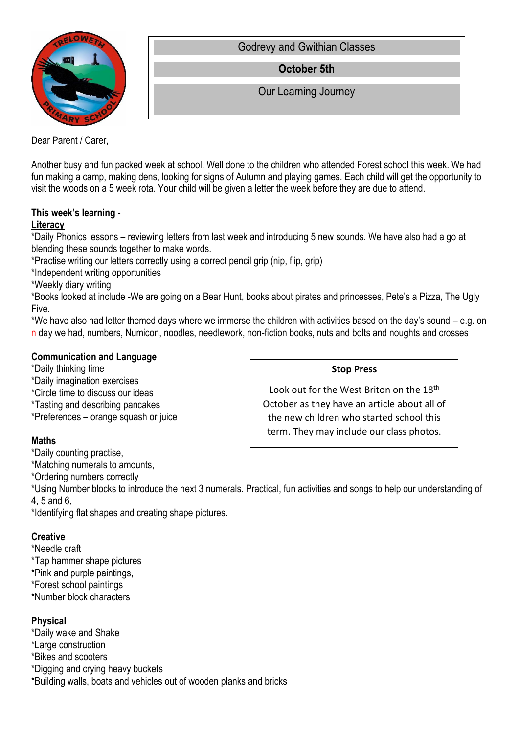

Godrevy and Gwithian Classes

**October 5th**

Our Learning Journey

Dear Parent / Carer,

Another busy and fun packed week at school. Well done to the children who attended Forest school this week. We had fun making a camp, making dens, looking for signs of Autumn and playing games. Each child will get the opportunity to visit the woods on a 5 week rota. Your child will be given a letter the week before they are due to attend.

#### **This week's learning - Literacy**

\*Daily Phonics lessons – reviewing letters from last week and introducing 5 new sounds. We have also had a go at blending these sounds together to make words.

\*Practise writing our letters correctly using a correct pencil grip (nip, flip, grip)

\*Independent writing opportunities

\*Weekly diary writing

\*Books looked at include -We are going on a Bear Hunt, books about pirates and princesses, Pete's a Pizza, The Ugly Five.

\*We have also had letter themed days where we immerse the children with activities based on the day's sound – e.g. on n day we had, numbers, Numicon, noodles, needlework, non-fiction books, nuts and bolts and noughts and crosses

## **Communication and Language**

\*Daily thinking time \*Daily imagination exercises \*Circle time to discuss our ideas \*Tasting and describing pancakes \*Preferences – orange squash or juice

## **Maths**

\*Daily counting practise,

\*Matching numerals to amounts,

\*Ordering numbers correctly

\*Using Number blocks to introduce the next 3 numerals. Practical, fun activities and songs to help our understanding of 4, 5 and 6,

\*Identifying flat shapes and creating shape pictures.

# **Creative**

\*Needle craft

\*Tap hammer shape pictures \*Pink and purple paintings,

\*Forest school paintings \*Number block characters

# **Physical**

\*Daily wake and Shake \*Large construction \*Bikes and scooters \*Digging and crying heavy buckets \*Building walls, boats and vehicles out of wooden planks and bricks

### **Stop Press**

Look out for the West Briton on the 18<sup>th</sup> October as they have an article about all of the new children who started school this term. They may include our class photos.